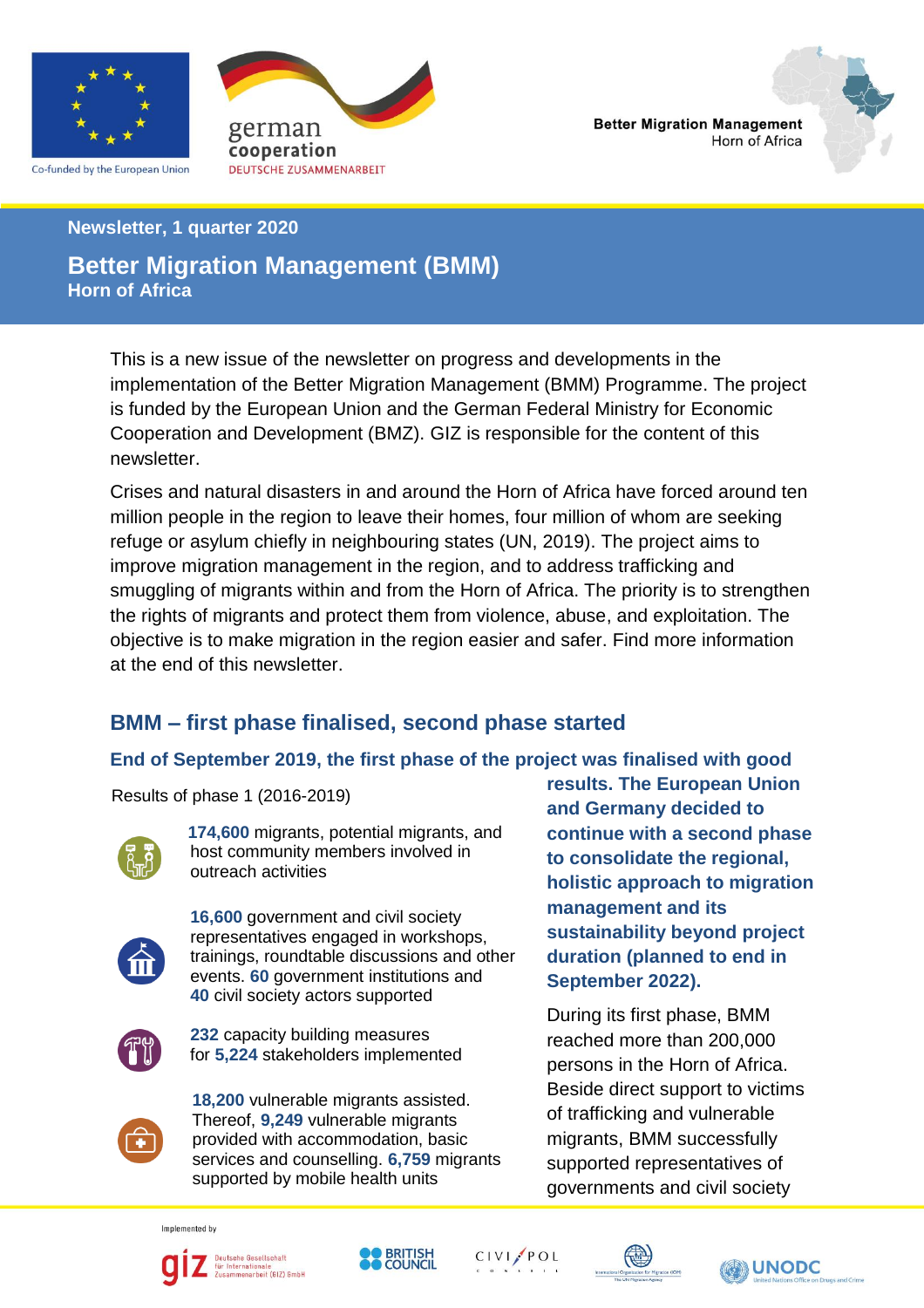

Co-funded by the European Union





#### **Newsletter, 1 quarter 2020**

#### **Better Migration Management (BMM) Horn of Africa**

This is a new issue of the newsletter on progress and developments in the implementation of the Better Migration Management (BMM) Programme. The project is funded by the European Union and the German Federal Ministry for Economic Cooperation and Development (BMZ). GIZ is responsible for the content of this newsletter.

Crises and natural disasters in and around the Horn of Africa have forced around ten million people in the region to leave their homes, four million of whom are seeking refuge or asylum chiefly in neighbouring states (UN, 2019). The project aims to improve migration management in the region, and to address trafficking and smuggling of migrants within and from the Horn of Africa. The priority is to strengthen the rights of migrants and protect them from violence, abuse, and exploitation. The objective is to make migration in the region easier and safer. Find more information at the end of this newsletter.

# **BMM – first phase finalised, second phase started**

### **End of September 2019, the first phase of the project was finalised with good**

Results of phase 1 (2016-2019)



 **174,600** migrants, potential migrants, and host community members involved in outreach activities



 **16,600** government and civil society representatives engaged in workshops, trainings, roundtable discussions and other events. **60** government institutions and **40** civil society actors supported



 **232** capacity building measures for **5,224** stakeholders implemented

Sorrisso and codificiently of the supported by mobile health units **18,200** vulnerable migrants assisted. Thereof, **9,249** vulnerable migrants provided with accommodation, basic services and counselling. **6,759** migrants

**results. The European Union and Germany decided to continue with a second phase to consolidate the regional, holistic approach to migration management and its sustainability beyond project duration (planned to end in September 2022).**

During its first phase, BMM reached more than 200,000 persons in the Horn of Africa. Beside direct support to victims of trafficking and vulnerable migrants, BMM successfully supported representatives of governments and civil society

Implemented by





CIVI/POL



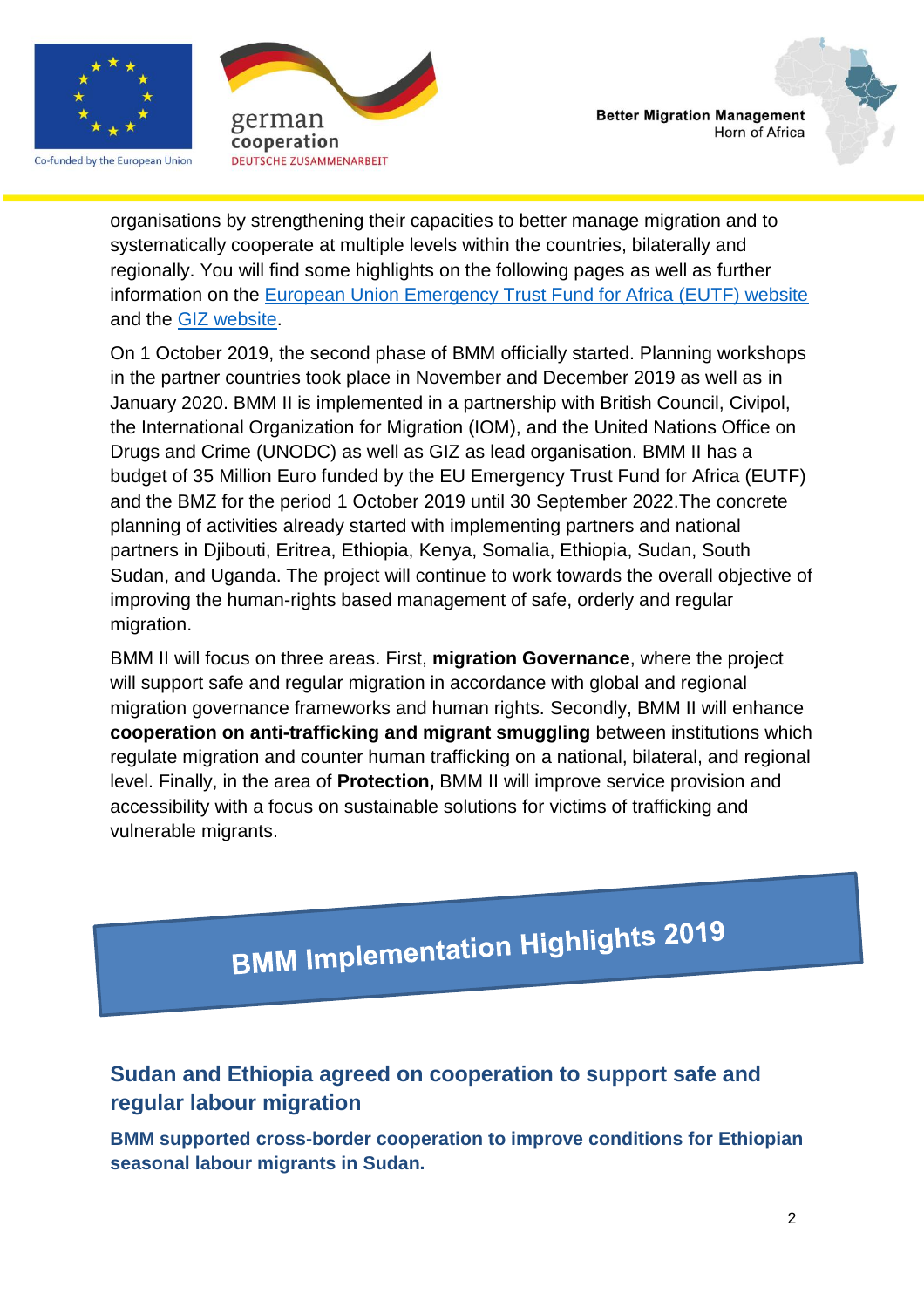

Co-funded by the European Union





organisations by strengthening their capacities to better manage migration and to systematically cooperate at multiple levels within the countries, bilaterally and regionally. You will find some highlights on the following pages as well as further information on the [European Union Emergency Trust Fund for Africa \(EUTF\) website](https://ec.europa.eu/trustfundforafrica/node/162) and the [GIZ website.](https://www.giz.de/en/worldwide/40602.html)

On 1 October 2019, the second phase of BMM officially started. Planning workshops in the partner countries took place in November and December 2019 as well as in January 2020. BMM II is implemented in a partnership with British Council, Civipol, the International Organization for Migration (IOM), and the United Nations Office on Drugs and Crime (UNODC) as well as GIZ as lead organisation. BMM II has a budget of 35 Million Euro funded by the EU Emergency Trust Fund for Africa (EUTF) and the BMZ for the period 1 October 2019 until 30 September 2022.The concrete planning of activities already started with implementing partners and national partners in Djibouti, Eritrea, Ethiopia, Kenya, Somalia, Ethiopia, Sudan, South Sudan, and Uganda. The project will continue to work towards the overall objective of improving the human-rights based management of safe, orderly and regular migration.

BMM II will focus on three areas. First, **migration Governance**, where the project will support safe and regular migration in accordance with global and regional migration governance frameworks and human rights. Secondly, BMM II will enhance **cooperation on anti-trafficking and migrant smuggling** between institutions which regulate migration and counter human trafficking on a national, bilateral, and regional level. Finally, in the area of **Protection,** BMM II will improve service provision and accessibility with a focus on sustainable solutions for victims of trafficking and vulnerable migrants.

**BMM Implementation Highlights 2019** 

# **Sudan and Ethiopia agreed on cooperation to support safe and regular labour migration**

**BMM supported cross-border cooperation to improve conditions for Ethiopian seasonal labour migrants in Sudan.**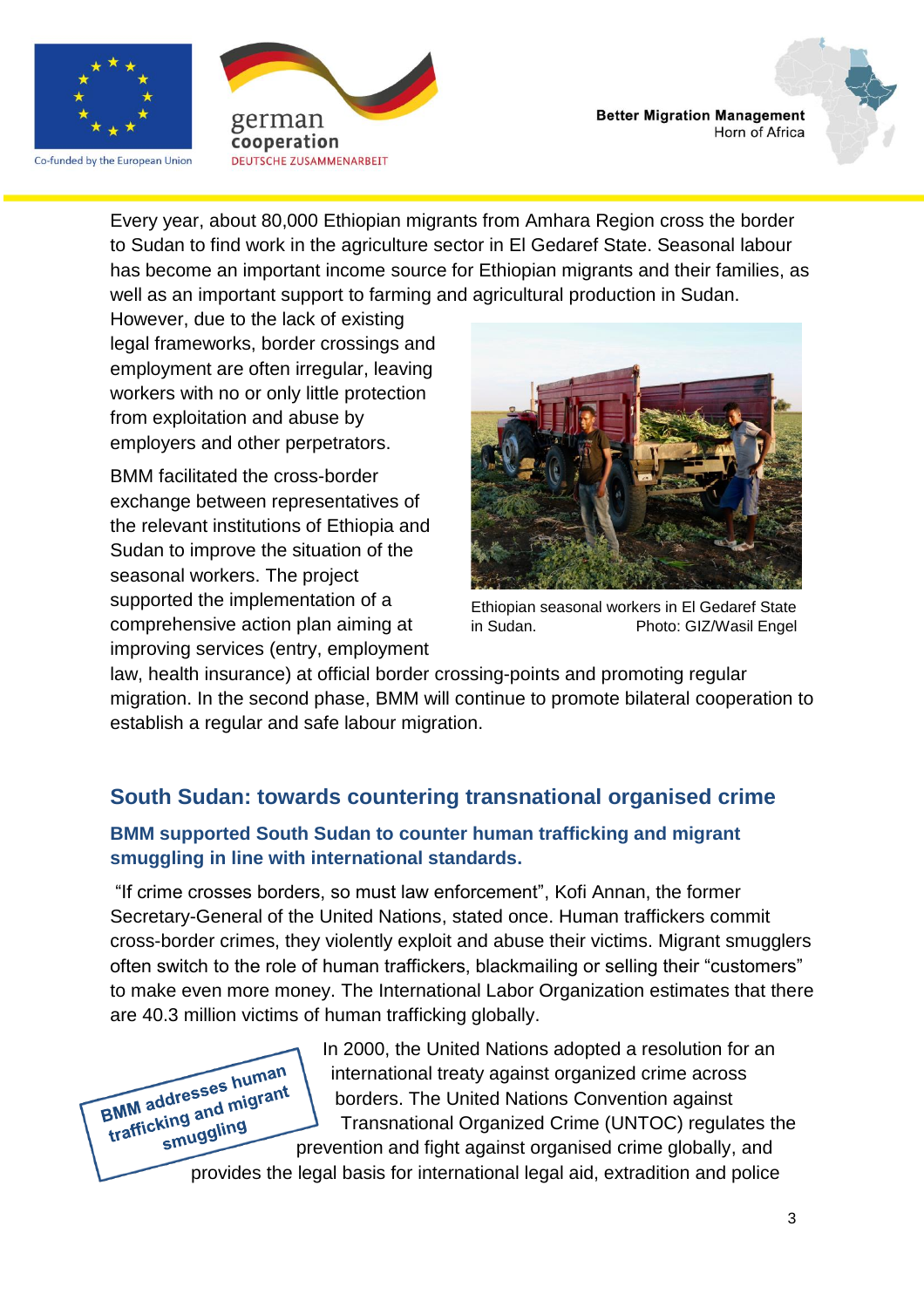

Co-funded by the European Union





Every year, about 80,000 Ethiopian migrants from Amhara Region cross the border to Sudan to find work in the agriculture sector in El Gedaref State. Seasonal labour has become an important income source for Ethiopian migrants and their families, as well as an important support to farming and agricultural production in Sudan.

However, due to the lack of existing legal frameworks, border crossings and employment are often irregular, leaving workers with no or only little protection from exploitation and abuse by employers and other perpetrators.

BMM facilitated the cross-border exchange between representatives of the relevant institutions of Ethiopia and Sudan to improve the situation of the seasonal workers. The project supported the implementation of a comprehensive action plan aiming at improving services (entry, employment



Ethiopian seasonal workers in El Gedaref State Photo: GIZ/Wasil Engel

law, health insurance) at official border crossing-points and promoting regular migration. In the second phase, BMM will continue to promote bilateral cooperation to establish a regular and safe labour migration.

### **South Sudan: towards countering transnational organised crime**

#### **BMM supported South Sudan to counter human trafficking and migrant smuggling in line with international standards.**

"If crime crosses borders, so must law enforcement", Kofi Annan, the former Secretary-General of the United Nations, stated once. Human traffickers commit cross-border crimes, they violently exploit and abuse their victims. Migrant smugglers often switch to the role of human traffickers, blackmailing or selling their "customers" to make even more money. The International Labor Organization estimates that there are 40.3 million victims of human trafficking globally.



In 2000, the United Nations adopted a resolution for an international treaty against organized crime across borders. The United Nations Convention against Transnational Organized Crime (UNTOC) regulates the prevention and fight against organised crime globally, and

provides the legal basis for international legal aid, extradition and police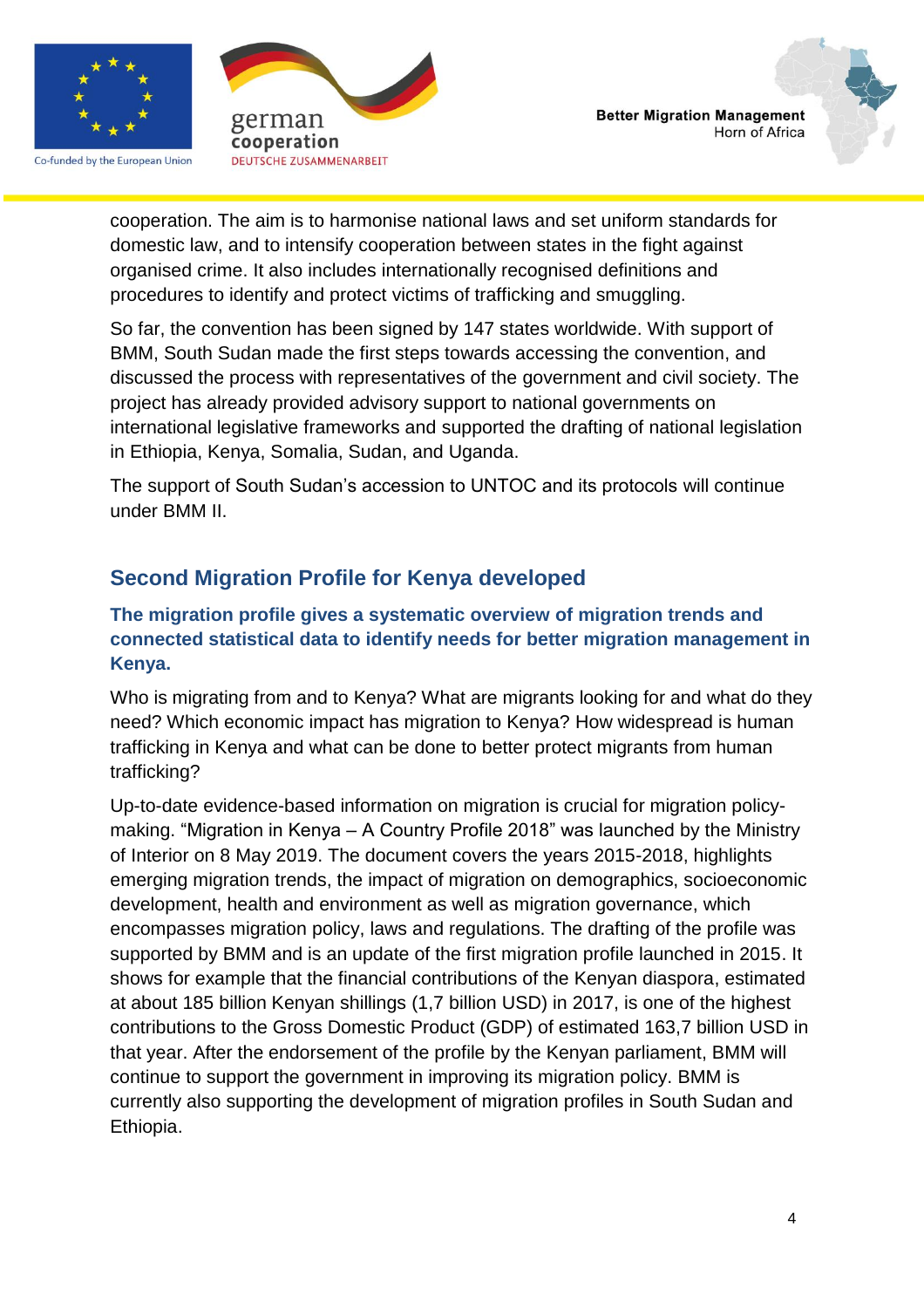

Co-funded by the European Union



cooperation. The aim is to harmonise national laws and set uniform standards for domestic law, and to intensify cooperation between states in the fight against organised crime. It also includes internationally recognised definitions and procedures to identify and protect victims of trafficking and smuggling.

So far, the convention has been signed by 147 states worldwide. With support of BMM, South Sudan made the first steps towards accessing the convention, and discussed the process with representatives of the government and civil society. The project has already provided advisory support to national governments on international legislative frameworks and supported the drafting of national legislation in Ethiopia, Kenya, Somalia, Sudan, and Uganda.

The support of South Sudan's accession to UNTOC and its protocols will continue under BMM II.

# **Second Migration Profile for Kenya developed**

#### **The migration profile gives a systematic overview of migration trends and connected statistical data to identify needs for better migration management in Kenya.**

Who is migrating from and to Kenya? What are migrants looking for and what do they need? Which economic impact has migration to Kenya? How widespread is human trafficking in Kenya and what can be done to better protect migrants from human trafficking?

Up-to-date evidence-based information on migration is crucial for migration policymaking. "Migration in Kenya – A Country Profile 2018" was launched by the Ministry of Interior on 8 May 2019. The document covers the years 2015-2018, highlights emerging migration trends, the impact of migration on demographics, socioeconomic development, health and environment as well as migration governance, which encompasses migration policy, laws and regulations. The drafting of the profile was supported by BMM and is an update of the first migration profile launched in 2015. It shows for example that the financial contributions of the Kenyan diaspora, estimated at about 185 billion Kenyan shillings (1,7 billion USD) in 2017, is one of the highest contributions to the Gross Domestic Product (GDP) of estimated 163,7 billion USD in that year. After the endorsement of the profile by the Kenyan parliament, BMM will continue to support the government in improving its migration policy. BMM is currently also supporting the development of migration profiles in South Sudan and Ethiopia.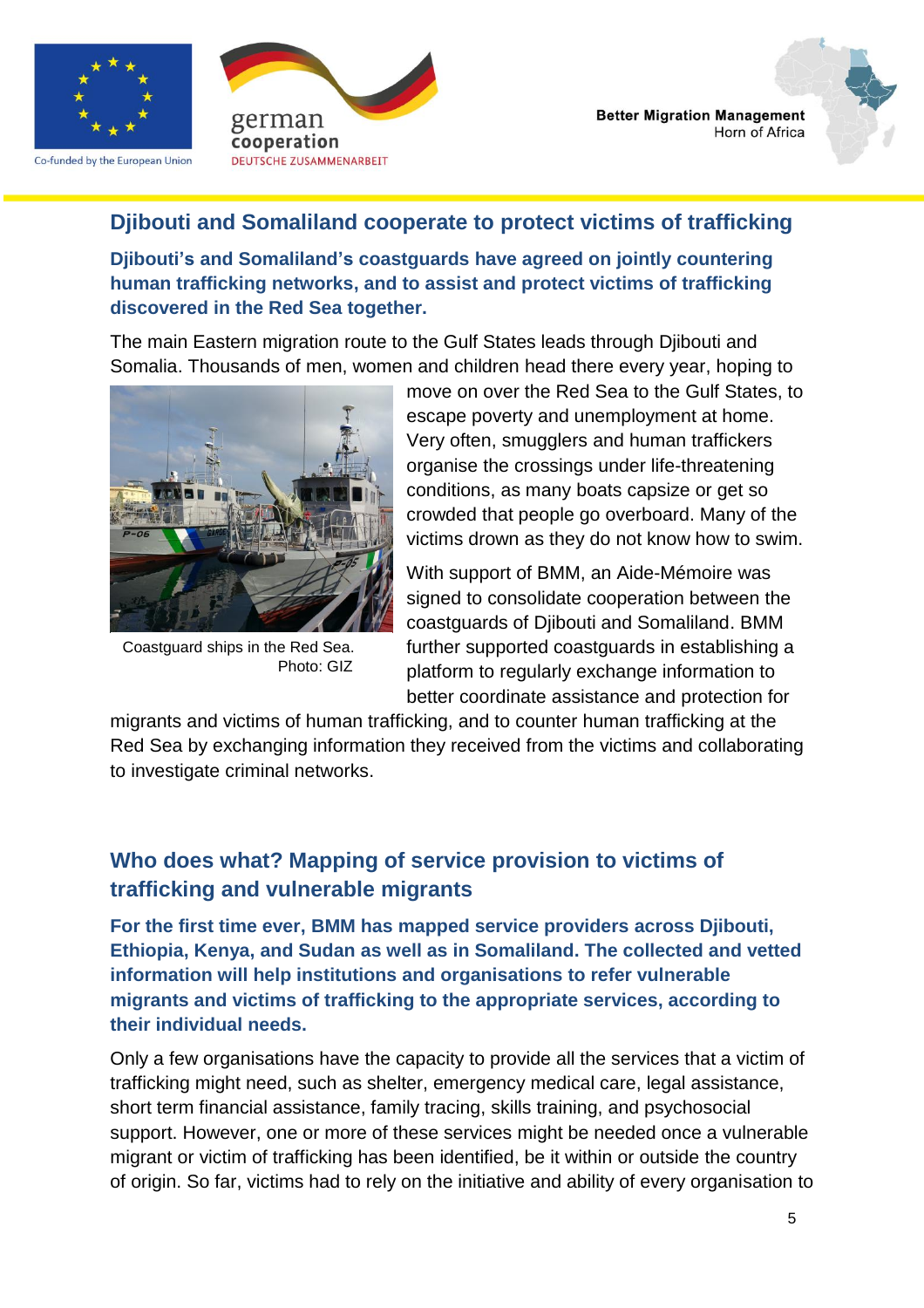

Co-funded by the European Union





#### **Djibouti and Somaliland cooperate to protect victims of trafficking**

**Djibouti's and Somaliland's coastguards have agreed on jointly countering human trafficking networks, and to assist and protect victims of trafficking discovered in the Red Sea together.**

The main Eastern migration route to the Gulf States leads through Djibouti and Somalia. Thousands of men, women and children head there every year, hoping to



Coastguard ships in the Red Sea. Photo: GIZ

move on over the Red Sea to the Gulf States, to escape poverty and unemployment at home. Very often, smugglers and human traffickers organise the crossings under life-threatening conditions, as many boats capsize or get so crowded that people go overboard. Many of the victims drown as they do not know how to swim.

With support of BMM, an Aide-Mémoire was signed to consolidate cooperation between the coastguards of Djibouti and Somaliland. BMM further supported coastguards in establishing a platform to regularly exchange information to better coordinate assistance and protection for

migrants and victims of human trafficking, and to counter human trafficking at the Red Sea by exchanging information they received from the victims and collaborating to investigate criminal networks.

## **Who does what? Mapping of service provision to victims of trafficking and vulnerable migrants**

**For the first time ever, BMM has mapped service providers across Djibouti, Ethiopia, Kenya, and Sudan as well as in Somaliland. The collected and vetted information will help institutions and organisations to refer vulnerable migrants and victims of trafficking to the appropriate services, according to their individual needs.**

Only a few organisations have the capacity to provide all the services that a victim of trafficking might need, such as shelter, emergency medical care, legal assistance, short term financial assistance, family tracing, skills training, and psychosocial support. However, one or more of these services might be needed once a vulnerable migrant or victim of trafficking has been identified, be it within or outside the country of origin. So far, victims had to rely on the initiative and ability of every organisation to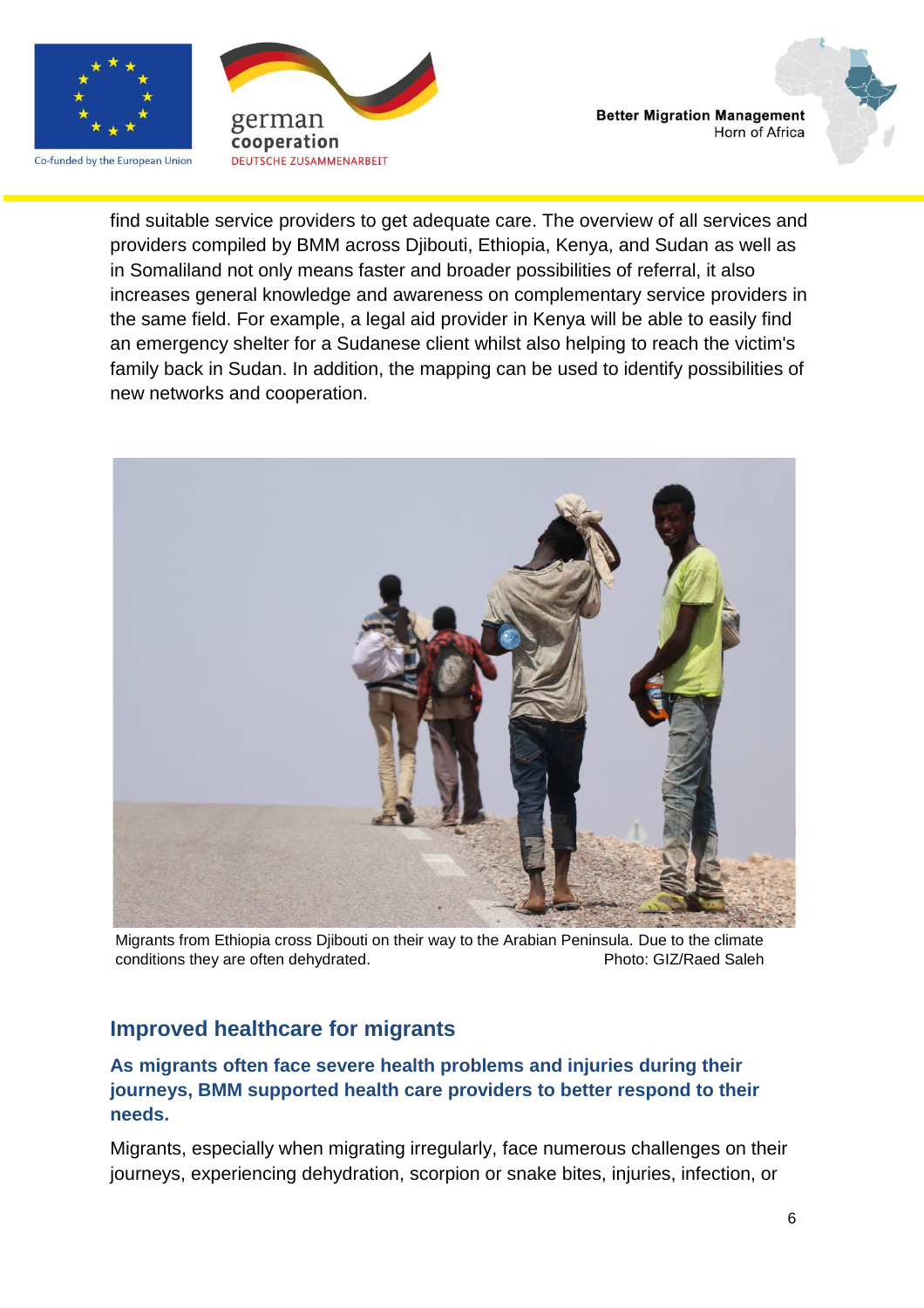

Co-funded by the European Union





find suitable service providers to get adequate care. The overview of all services and providers compiled by BMM across Djibouti, Ethiopia, Kenya, and Sudan as well as in Somaliland not only means faster and broader possibilities of referral, it also increases general knowledge and awareness on complementary service providers in the same field. For example, a legal aid provider in Kenya will be able to easily find an emergency shelter for a Sudanese client whilst also helping to reach the victim's family back in Sudan. In addition, the mapping can be used to identify possibilities of new networks and cooperation.



Migrants from Ethiopia cross Djibouti on their way to the Arabian Peninsula. Due to the climate conditions they are often dehydrated. example a photo: GIZ/Raed Saleh

# **Improved healthcare for migrants**

#### **As migrants often face severe health problems and injuries during their journeys, BMM supported health care providers to better respond to their needs.**

Migrants, especially when migrating irregularly, face numerous challenges on their journeys, experiencing dehydration, scorpion or snake bites, injuries, infection, or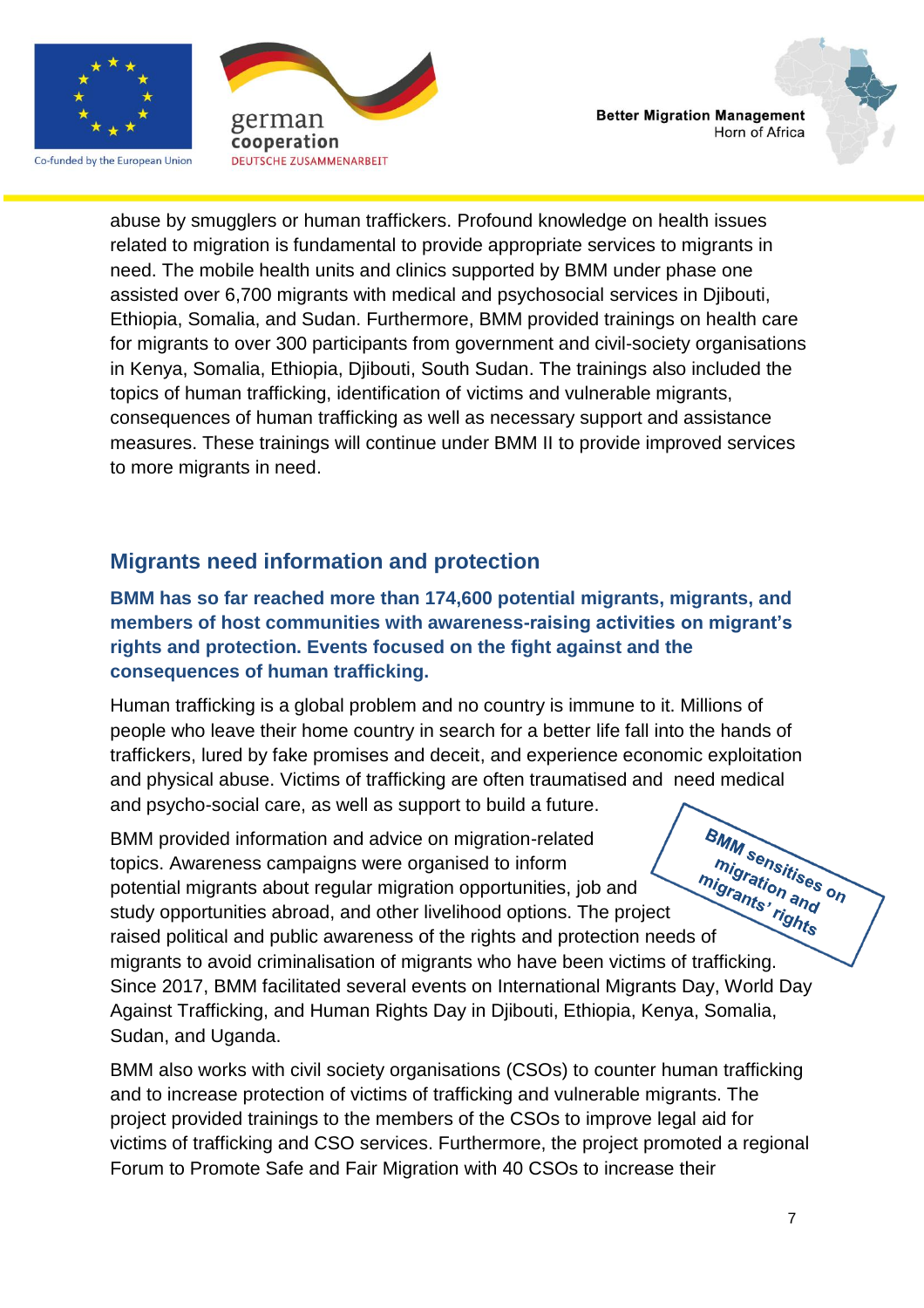

Co-funded by the European Union



**Better Migration Management** Horn of Africa

abuse by smugglers or human traffickers. Profound knowledge on health issues related to migration is fundamental to provide appropriate services to migrants in need. The mobile health units and clinics supported by BMM under phase one assisted over 6,700 migrants with medical and psychosocial services in Djibouti, Ethiopia, Somalia, and Sudan. Furthermore, BMM provided trainings on health care for migrants to over 300 participants from government and civil-society organisations in Kenya, Somalia, Ethiopia, Djibouti, South Sudan. The trainings also included the topics of human trafficking, identification of victims and vulnerable migrants, consequences of human trafficking as well as necessary support and assistance measures. These trainings will continue under BMM II to provide improved services to more migrants in need.

### **Migrants need information and protection**

**BMM has so far reached more than 174,600 potential migrants, migrants, and members of host communities with awareness-raising activities on migrant's rights and protection. Events focused on the fight against and the consequences of human trafficking.** 

Human trafficking is a global problem and no country is immune to it. Millions of people who leave their home country in search for a better life fall into the hands of traffickers, lured by fake promises and deceit, and experience economic exploitation and physical abuse. Victims of trafficking are often traumatised and need medical and psycho-social care, as well as support to build a future.

**BMM sensitises on**<br>migration area on BMM provided information and advice on migration-related migration and topics. Awareness campaigns were organised to inform ration of the raised political and public awareness of the rights and protection needs of<br>raised political and public awareness of the rights and protection needs of potential migrants about regular migration opportunities, job and study opportunities abroad, and other livelihood options. The project migrants to avoid criminalisation of migrants who have been victims of trafficking. Since 2017, BMM facilitated several events on International Migrants Day, World Day Against Trafficking, and Human Rights Day in Djibouti, Ethiopia, Kenya, Somalia, Sudan, and Uganda.

BMM also works with civil society organisations (CSOs) to counter human trafficking and to increase protection of victims of trafficking and vulnerable migrants. The project provided trainings to the members of the CSOs to improve legal aid for victims of trafficking and CSO services. Furthermore, the project promoted a regional Forum to Promote Safe and Fair Migration with 40 CSOs to increase their